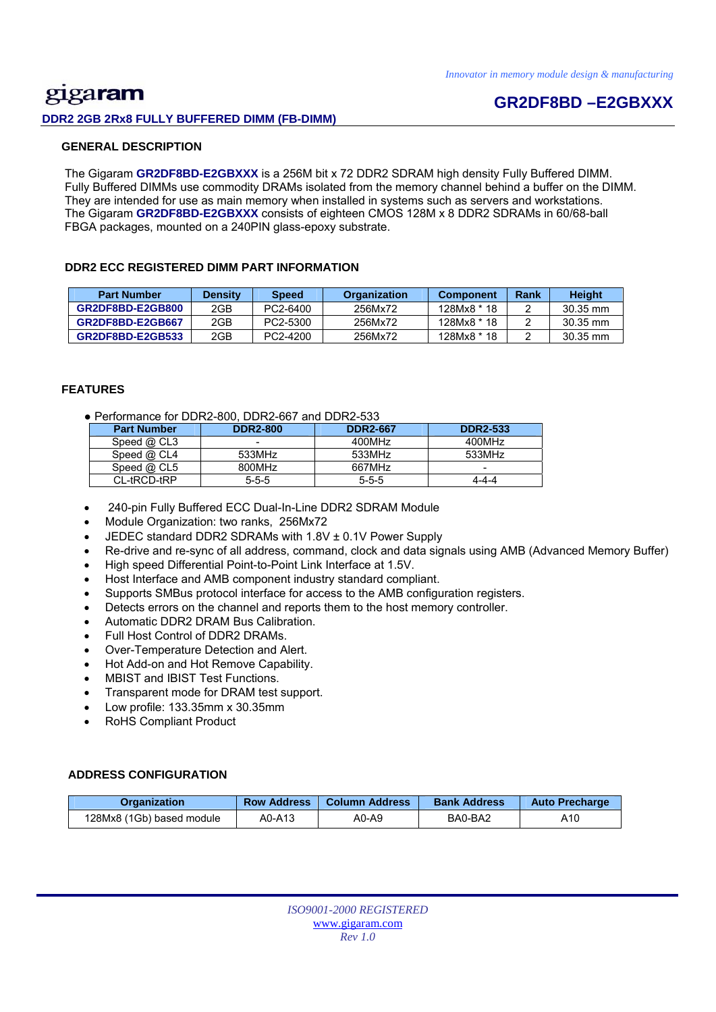# gigaram **DDR2 2GB 2Rx8 FULLY BUFFERED DIMM (FB-DIMM)**

# **GR2DF8BD –E2GBXXX**

# **GENERAL DESCRIPTION**

 The Gigaram **GR2DF8BD-E2GBXXX** is a 256M bit x 72 DDR2 SDRAM high density Fully Buffered DIMM. Fully Buffered DIMMs use commodity DRAMs isolated from the memory channel behind a buffer on the DIMM. They are intended for use as main memory when installed in systems such as servers and workstations. The Gigaram **GR2DF8BD-E2GBXXX** consists of eighteen CMOS 128M x 8 DDR2 SDRAMs in 60/68-ball FBGA packages, mounted on a 240PIN glass-epoxy substrate.

# **DDR2 ECC REGISTERED DIMM PART INFORMATION**

| <b>Part Number</b>      | <b>Density</b> | <b>Speed</b> | <b>Organization</b> | <b>Component</b> | Rank | <b>Height</b> |
|-------------------------|----------------|--------------|---------------------|------------------|------|---------------|
| <b>GR2DF8BD-E2GB800</b> | 2GB            | PC2-6400     | 256Mx72             | 128Mx8 * 18      |      | $30.35$ mm    |
| GR2DF8BD-E2GB667        | 2GB            | PC2-5300     | 256Mx72             | 128Mx8 * 18      |      | 30.35 mm      |
| GR2DF8BD-E2GB533        | 2GB            | PC2-4200     | 256Mx72             | 128Mx8 * 18      |      | 30.35 mm      |

## **FEATURES**

● Performance for DDR2-800, DDR2-667 and DDR2-533

| <b>Part Number</b> | <b>DDR2-800</b> | <b>DDR2-667</b> | <b>DDR2-533</b> |
|--------------------|-----------------|-----------------|-----------------|
| Speed $@$ CL3      | -               | 400MHz          | 400MHz          |
| Speed $@$ CL4      | 533MHz          | 533MHz          | 533MHz          |
| Speed $@$ CL5      | 800MHz          | 667MHz          | -               |
| CL-tRCD-tRP        | $5-5-5$         | $5 - 5 - 5$     | 4-4-4           |

- 240-pin Fully Buffered ECC Dual-In-Line DDR2 SDRAM Module
- Module Organization: two ranks, 256Mx72
- JEDEC standard DDR2 SDRAMs with 1.8V ± 0.1V Power Supply
- Re-drive and re-sync of all address, command, clock and data signals using AMB (Advanced Memory Buffer)
- High speed Differential Point-to-Point Link Interface at 1.5V.
- Host Interface and AMB component industry standard compliant.
- Supports SMBus protocol interface for access to the AMB configuration registers.
- Detects errors on the channel and reports them to the host memory controller.
- Automatic DDR2 DRAM Bus Calibration.
- Full Host Control of DDR2 DRAMs.
- Over-Temperature Detection and Alert.
- Hot Add-on and Hot Remove Capability.
- MBIST and IBIST Test Functions.
- Transparent mode for DRAM test support.
- Low profile: 133.35mm x 30.35mm
- RoHS Compliant Product

## **ADDRESS CONFIGURATION**

| Organization              | <b>Row Address</b> | <b>Column Address</b> | <b>Bank Address</b> | <b>Auto Precharge</b> |
|---------------------------|--------------------|-----------------------|---------------------|-----------------------|
| 128Mx8 (1Gb) based module | A0-A13             | A0-A9                 | BA0-BA2             | A10                   |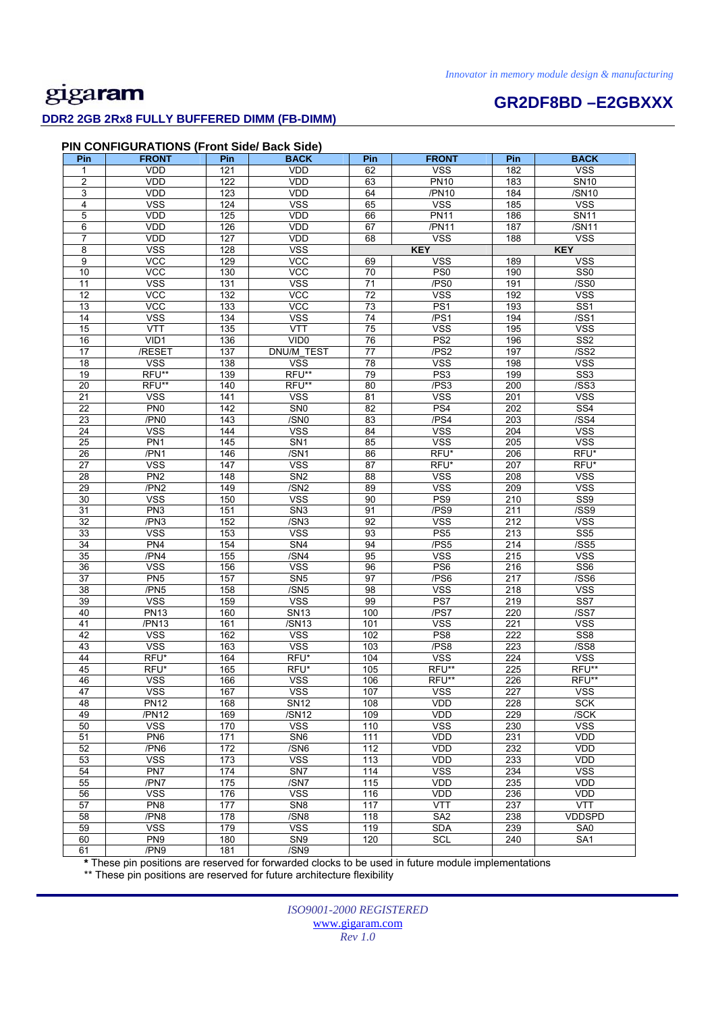# **DDR2 2GB 2Rx8 FULLY BUFFERED DIMM (FB-DIMM)**

# **GR2DF8BD –E2GBXXX**

# **PIN CONFIGURATIONS (Front Side/ Back Side)**

| Pin             | <b>FRONT</b>            | Pin             | <b>BACK</b>      | Pin             | <b>FRONT</b>     | Pin | <b>BACK</b>     |
|-----------------|-------------------------|-----------------|------------------|-----------------|------------------|-----|-----------------|
| 1               | <b>VDD</b>              | 121             | <b>VDD</b>       | 62              | <b>VSS</b>       | 182 | <b>VSS</b>      |
| 2               | <b>VDD</b>              | 122             | <b>VDD</b>       | 63              | <b>PN10</b>      | 183 | <b>SN10</b>     |
| 3               | VDD                     | 123             | <b>VDD</b>       | 64              | /PN10            | 184 | /SN10           |
| 4               | <b>VSS</b>              | 124             | <b>VSS</b>       | 65              | <b>VSS</b>       | 185 | <b>VSS</b>      |
| 5               | VDD                     | 125             | <b>VDD</b>       | 66              | <b>PN11</b>      | 186 | <b>SN11</b>     |
| 6               | VDD                     | 126             | VDD              | 67              | /PN11            | 187 | /SN11           |
| 7               | VDD                     | 127             | <b>VDD</b>       | 68              | <b>VSS</b>       | 188 | <b>VSS</b>      |
| 8               | <b>VSS</b>              | 128             | <b>VSS</b>       |                 | <b>KEY</b>       |     | <b>KEY</b>      |
| 9               | <b>VCC</b>              | 129             | VCC              | 69              | <b>VSS</b>       | 189 | <b>VSS</b>      |
| 10              | <b>VCC</b>              | 130             | <b>VCC</b>       | 70              | PS <sub>0</sub>  | 190 | SS <sub>0</sub> |
| 11              | <b>VSS</b>              | 131             | <b>VSS</b>       | 71              | /PS0             | 191 | /SSO            |
| 12              | <b>VCC</b>              | 132             | <b>VCC</b>       | 72              | <b>VSS</b>       | 192 | <b>VSS</b>      |
| 13              | <b>VCC</b>              | 133             | VCC              | 73              | PS <sub>1</sub>  | 193 | SS <sub>1</sub> |
| 14              | $\overline{\text{VSS}}$ | 134             | <b>VSS</b>       | 74              | /PS1             | 194 | /SS1            |
| 15              | <b>VTT</b>              | 135             | VTT              | 75              | <b>VSS</b>       | 195 | <b>VSS</b>      |
| 16              | VID1                    | 136             | VID <sub>0</sub> | 76              | PS <sub>2</sub>  | 196 | SS <sub>2</sub> |
| $\overline{17}$ | /RESET                  | $\frac{1}{137}$ | DNU/M_TEST       | $\overline{77}$ | /PS <sub>2</sub> | 197 | /SS2            |
| 18              | <b>VSS</b>              | 138             | <b>VSS</b>       | 78              | <b>VSS</b>       | 198 | <b>VSS</b>      |
| 19              | RFU**                   | 139             | RFU**            | 79              | PS <sub>3</sub>  | 199 | SS <sub>3</sub> |
| 20              | RFU**                   | 140             | RFU**            | 80              | /PS3             | 200 | /SS3            |
| 21              | <b>VSS</b>              | 141             | <b>VSS</b>       | 81              | <b>VSS</b>       | 201 | <b>VSS</b>      |
| 22              | PN <sub>0</sub>         | 142             | SN <sub>0</sub>  | $\overline{82}$ | PS <sub>4</sub>  | 202 | SS4             |
| 23              | /PN0                    | 143             | /SN <sub>0</sub> | 83              | /PS4             | 203 | /SS4            |
| $\overline{24}$ | <b>VSS</b>              | 144             | <b>VSS</b>       | 84              | <b>VSS</b>       | 204 | <b>VSS</b>      |
| 25              | PN <sub>1</sub>         | 145             | SN1              | 85              | <b>VSS</b>       | 205 | <b>VSS</b>      |
| 26              | /PN1                    | 146             | /SN1             | 86              | RFU*             | 206 | RFU*            |
| 27              | <b>VSS</b>              | 147             | <b>VSS</b>       | $\overline{87}$ | RFU*             | 207 | RFU*            |
| 28              | PN <sub>2</sub>         | 148             | SN2              | 88              | <b>VSS</b>       | 208 | <b>VSS</b>      |
| 29              | /PN2                    | 149             | /SN2             | 89              | <b>VSS</b>       | 209 | <b>VSS</b>      |
| 30              | <b>VSS</b>              | 150             | <b>VSS</b>       | 90              | PS <sub>9</sub>  | 210 | SS9             |
| 31              | PN <sub>3</sub>         | 151             | SN <sub>3</sub>  | 91              | /PS9             | 211 | /SS9            |
| 32              | /PN3                    | 152             | /SN3             | 92              | <b>VSS</b>       | 212 | <b>VSS</b>      |
| 33              | <b>VSS</b>              | 153             | <b>VSS</b>       | 93              | PS <sub>5</sub>  | 213 | SS5             |
| 34              | PN4                     | 154             | SN4              | 94              | /PS5             | 214 | /SS5            |
| 35              | /PN4                    | 155             | /SN4             | 95              | <b>VSS</b>       | 215 | <b>VSS</b>      |
| 36              | <b>VSS</b>              | 156             | <b>VSS</b>       | 96              | PS <sub>6</sub>  | 216 | SS <sub>6</sub> |
| 37              | PN <sub>5</sub>         | 157             | SN <sub>5</sub>  | 97              | /PS6             | 217 | /SS6            |
| 38              | /PN5                    | 158             | /SN5             | 98              | <b>VSS</b>       | 218 | <b>VSS</b>      |
| 39              | <b>VSS</b>              | 159             | <b>VSS</b>       | 99              | PS7              | 219 | SS7             |
| 40              | <b>PN13</b>             | 160             | <b>SN13</b>      | 100             | /PS7             | 220 | /SS7            |
| 41              | /PN13                   | 161             | /SN13            | 101             | <b>VSS</b>       | 221 | <b>VSS</b>      |
| 42              | <b>VSS</b>              | 162             | <b>VSS</b>       | 102             | PS <sub>8</sub>  | 222 | SS <sub>8</sub> |
| 43              | <b>VSS</b>              | 163             | <b>VSS</b>       | 103             | /PS8             | 223 | /SS8            |
| 44              | RFU*                    | 164             | RFU*             | 104             | <b>VSS</b>       | 224 | <b>VSS</b>      |
| 45              | RFU*                    | 165             | RFU*             | 105             | RFU**            | 225 | RFU**           |
| 46              | <b>VSS</b>              | 166             | <b>VSS</b>       | 106             | RFU**            | 226 | RFU**           |
| 47              | <b>VSS</b>              | 167             | VSS              | 107             | <b>VSS</b>       | 227 | <b>VSS</b>      |
| 48              | <b>PN12</b>             | 168             | <b>SN12</b>      | 108             | <b>VDD</b>       | 228 | <b>SCK</b>      |
| 49              | /PN12                   | 169             | /SN12            | 109             | VDD              | 229 | /SCK            |
| 50              | <b>VSS</b>              | 170             | <b>VSS</b>       | 110             | <b>VSS</b>       | 230 | <b>VSS</b>      |
| 51              | PN <sub>6</sub>         | 171             | SN <sub>6</sub>  | 111             | VDD              | 231 | VDD             |
| 52              | /PN6                    | 172             | /SN6             | 112             | VDD              | 232 | VDD             |
| 53              | <b>VSS</b>              | 173             | <b>VSS</b>       | 113             | VDD              | 233 | VDD             |
| 54              | PN <sub>7</sub>         | 174             | SN <sub>7</sub>  | 114             | <b>VSS</b>       | 234 | <b>VSS</b>      |
| 55              | /PN7                    | 175             | /SN7             | 115             | VDD              | 235 | VDD             |
| 56              | <b>VSS</b>              | 176             | <b>VSS</b>       | 116             | VDD              | 236 | VDD             |
| 57              | PN <sub>8</sub>         | 177             | SN <sub>8</sub>  | 117             | <b>VTT</b>       | 237 | <b>VTT</b>      |
| 58              | /PN8                    | 178             | /SN8             | 118             | SA <sub>2</sub>  | 238 | <b>VDDSPD</b>   |
| 59              | <b>VSS</b>              | 179             | <b>VSS</b>       | 119             | <b>SDA</b>       | 239 | SA0             |
| 60              | PN9                     | 180             | SN9              | 120             | <b>SCL</b>       | 240 | SA <sub>1</sub> |
| 61              | /PN9                    | 181             | /SN9             |                 |                  |     |                 |

**\*** These pin positions are reserved for forwarded clocks to be used in future module implementations

\*\* These pin positions are reserved for future architecture flexibility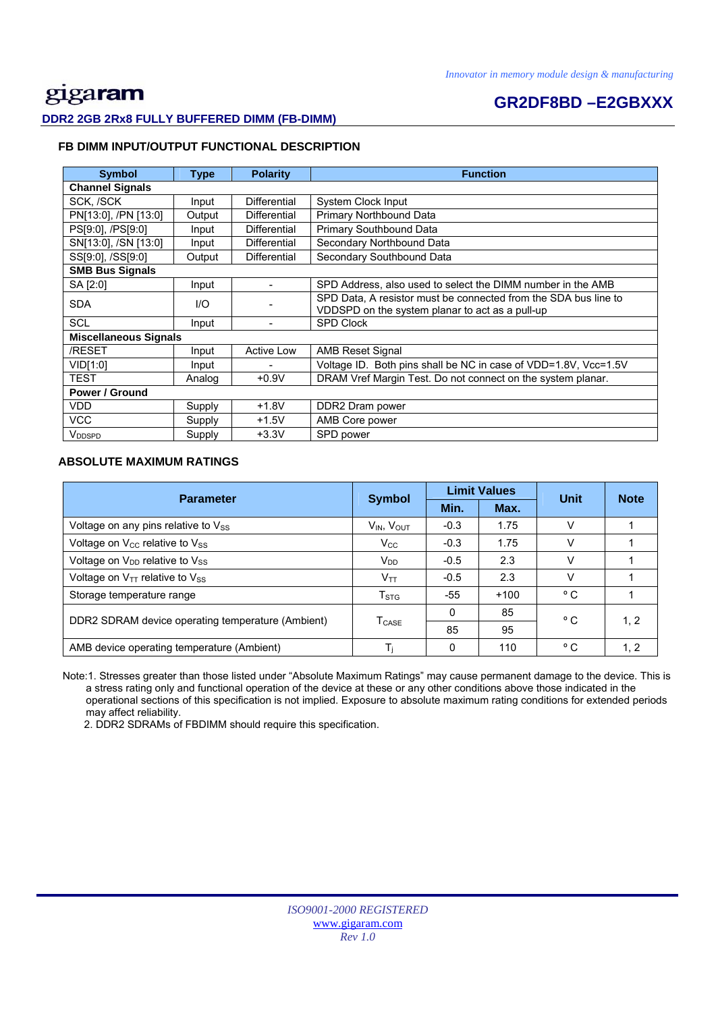# gigaram

# **GR2DF8BD –E2GBXXX**

# **DDR2 2GB 2Rx8 FULLY BUFFERED DIMM (FB-DIMM)**

# **FB DIMM INPUT/OUTPUT FUNCTIONAL DESCRIPTION**

| <b>Symbol</b>                | <b>Type</b> | <b>Polarity</b>     | <b>Function</b>                                                                                                    |
|------------------------------|-------------|---------------------|--------------------------------------------------------------------------------------------------------------------|
| <b>Channel Signals</b>       |             |                     |                                                                                                                    |
| SCK, /SCK                    | Input       | <b>Differential</b> | System Clock Input                                                                                                 |
| PN[13:0], /PN [13:0]         | Output      | Differential        | Primary Northbound Data                                                                                            |
| PS[9:0], /PS[9:0]            | Input       | Differential        | Primary Southbound Data                                                                                            |
| SN[13:0], /SN [13:0]         | Input       | Differential        | Secondary Northbound Data                                                                                          |
| SS[9:0], /SS[9:0]            | Output      | Differential        | Secondary Southbound Data                                                                                          |
| <b>SMB Bus Signals</b>       |             |                     |                                                                                                                    |
| SA [2:0]                     | Input       | $\blacksquare$      | SPD Address, also used to select the DIMM number in the AMB                                                        |
| <b>SDA</b>                   | 1/O         |                     | SPD Data, A resistor must be connected from the SDA bus line to<br>VDDSPD on the system planar to act as a pull-up |
| <b>SCL</b>                   | Input       |                     | <b>SPD Clock</b>                                                                                                   |
| <b>Miscellaneous Signals</b> |             |                     |                                                                                                                    |
| /RESET                       | Input       | <b>Active Low</b>   | <b>AMB Reset Signal</b>                                                                                            |
| VID[1:0]                     | Input       | $\overline{a}$      | Voltage ID. Both pins shall be NC in case of VDD=1.8V, Vcc=1.5V                                                    |
| <b>TEST</b>                  | Analog      | $+0.9V$             | DRAM Vref Margin Test. Do not connect on the system planar.                                                        |
| <b>Power / Ground</b>        |             |                     |                                                                                                                    |
| <b>VDD</b>                   | Supply      | $+1.8V$             | DDR2 Dram power                                                                                                    |
| <b>VCC</b>                   | Supply      | $+1.5V$             | AMB Core power                                                                                                     |
| V <sub>DDSPD</sub>           | Supply      | $+3.3V$             | SPD power                                                                                                          |

# **ABSOLUTE MAXIMUM RATINGS**

| <b>Parameter</b>                                       | <b>Symbol</b>                      | <b>Limit Values</b> |        | Unit         | <b>Note</b> |
|--------------------------------------------------------|------------------------------------|---------------------|--------|--------------|-------------|
|                                                        |                                    | Min.                | Max.   |              |             |
| Voltage on any pins relative to Vss                    | V <sub>IN</sub> , V <sub>OUT</sub> | $-0.3$              | 1.75   | V            |             |
| Voltage on $V_{\text{CC}}$ relative to $V_{\text{SS}}$ | $V_{\rm CC}$                       | $-0.3$              | 1.75   | v            |             |
| Voltage on V <sub>DD</sub> relative to V <sub>SS</sub> | V <sub>DD</sub>                    | $-0.5$              | 2.3    |              |             |
| Voltage on $V_{TT}$ relative to $V_{SS}$               | $V_{TT}$                           | $-0.5$              | 2.3    |              |             |
| Storage temperature range                              | T <sub>STG</sub>                   | -55                 | $+100$ | $^{\circ}$ C |             |
| DDR2 SDRAM device operating temperature (Ambient)      |                                    | 0                   | 85     | °C           | 1, 2        |
|                                                        | $\mathsf{T}_{\mathsf{CASE}}$       | 85                  | 95     |              |             |
| AMB device operating temperature (Ambient)             |                                    | $\Omega$            | 110    | °C           | 1, 2        |

 Note:1. Stresses greater than those listed under "Absolute Maximum Ratings" may cause permanent damage to the device. This is a stress rating only and functional operation of the device at these or any other conditions above those indicated in the operational sections of this specification is not implied. Exposure to absolute maximum rating conditions for extended periods may affect reliability.

2. DDR2 SDRAMs of FBDIMM should require this specification.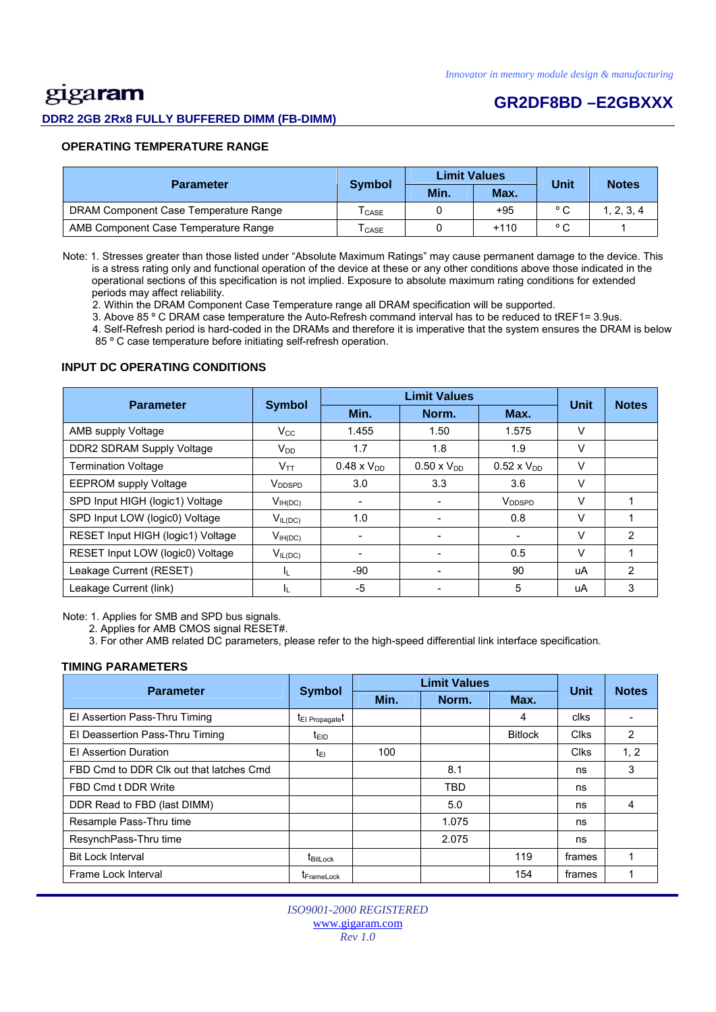# gigaram

### **DDR2 2GB 2Rx8 FULLY BUFFERED DIMM (FB-DIMM)**

# **GR2DF8BD –E2GBXXX**

## **OPERATING TEMPERATURE RANGE**

| <b>Parameter</b>                      |                            | <b>Limit Values</b> |        | Unit           | <b>Notes</b> |
|---------------------------------------|----------------------------|---------------------|--------|----------------|--------------|
|                                       | <b>Symbol</b>              | Min.                | Max.   |                |              |
| DRAM Component Case Temperature Range | $\mathsf{T}_\mathsf{CASE}$ |                     | $+95$  | $\circ$ $\sim$ | , 2, 3, 4    |
| AMB Component Case Temperature Range  | I CASE                     |                     | $+110$ | $\circ$ $\sim$ |              |

 Note: 1. Stresses greater than those listed under "Absolute Maximum Ratings" may cause permanent damage to the device. This is a stress rating only and functional operation of the device at these or any other conditions above those indicated in the operational sections of this specification is not implied. Exposure to absolute maximum rating conditions for extended periods may affect reliability.

2. Within the DRAM Component Case Temperature range all DRAM specification will be supported.

3. Above 85 º C DRAM case temperature the Auto-Refresh command interval has to be reduced to tREF1= 3.9us.

 4. Self-Refresh period is hard-coded in the DRAMs and therefore it is imperative that the system ensures the DRAM is below 85 º C case temperature before initiating self-refresh operation.

## **INPUT DC OPERATING CONDITIONS**

| <b>Parameter</b>                  | <b>Symbol</b>      |                      | <b>Unit</b>          | <b>Notes</b>         |        |   |
|-----------------------------------|--------------------|----------------------|----------------------|----------------------|--------|---|
|                                   |                    | Min.                 | Norm.                | Max.                 |        |   |
| AMB supply Voltage                | $V_{\rm CC}$       | 1.455                | 1.50                 | 1.575                | V      |   |
| DDR2 SDRAM Supply Voltage         | $V_{DD}$           | 1.7                  | 1.8                  | 1.9                  | $\vee$ |   |
| <b>Termination Voltage</b>        | V <sub>TT</sub>    | $0.48 \times V_{DD}$ | $0.50 \times V_{DD}$ | $0.52 \times V_{DD}$ | V      |   |
| <b>EEPROM</b> supply Voltage      | V <sub>DDSPD</sub> | 3.0                  | 3.3                  | 3.6                  | v      |   |
| SPD Input HIGH (logic1) Voltage   | $V_{IH(DC)}$       | ۰                    |                      | V <sub>DDSPD</sub>   | V      |   |
| SPD Input LOW (logic0) Voltage    | $V_{IL(DC)}$       | 1.0                  |                      | 0.8                  | V      |   |
| RESET Input HIGH (logic1) Voltage | $V_{IH(DC)}$       |                      |                      |                      | V      | 2 |
| RESET Input LOW (logic0) Voltage  | $V_{IL(DC)}$       |                      |                      | 0.5                  | $\vee$ |   |
| Leakage Current (RESET)           | IL.                | $-90$                |                      | 90                   | uA     | 2 |
| Leakage Current (link)            | ΙL                 | $-5$                 |                      | 5                    | uA     | 3 |

Note: 1. Applies for SMB and SPD bus signals.

2. Applies for AMB CMOS signal RESET#.

3. For other AMB related DC parameters, please refer to the high-speed differential link interface specification.

## **TIMING PARAMETERS**

| <b>Parameter</b>                        | <b>Symbol</b>               | <b>Limit Values</b> | <b>Unit</b> | <b>Notes</b>   |             |      |
|-----------------------------------------|-----------------------------|---------------------|-------------|----------------|-------------|------|
|                                         |                             | Min.                | Norm.       | Max.           |             |      |
| El Assertion Pass-Thru Timing           | t <sub>El Propagate</sub> t |                     |             | 4              | clks        |      |
| El Deassertion Pass-Thru Timing         | t <sub>EID</sub>            |                     |             | <b>Bitlock</b> | <b>Clks</b> | 2    |
| <b>El Assertion Duration</b>            | tει                         | 100                 |             |                | <b>Clks</b> | 1, 2 |
| FBD Cmd to DDR Clk out that latches Cmd |                             |                     | 8.1         |                | ns          | 3    |
| FBD Cmd t DDR Write                     |                             |                     | <b>TBD</b>  |                | ns          |      |
| DDR Read to FBD (last DIMM)             |                             |                     | 5.0         |                | ns          | 4    |
| Resample Pass-Thru time                 |                             |                     | 1.075       |                | ns          |      |
| ResynchPass-Thru time                   |                             |                     | 2.075       |                | ns          |      |
| <b>Bit Lock Interval</b>                | t <sub>BitLock</sub>        |                     |             | 119            | frames      |      |
| Frame Lock Interval                     | <b>T</b> FrameLock          |                     |             | 154            | frames      |      |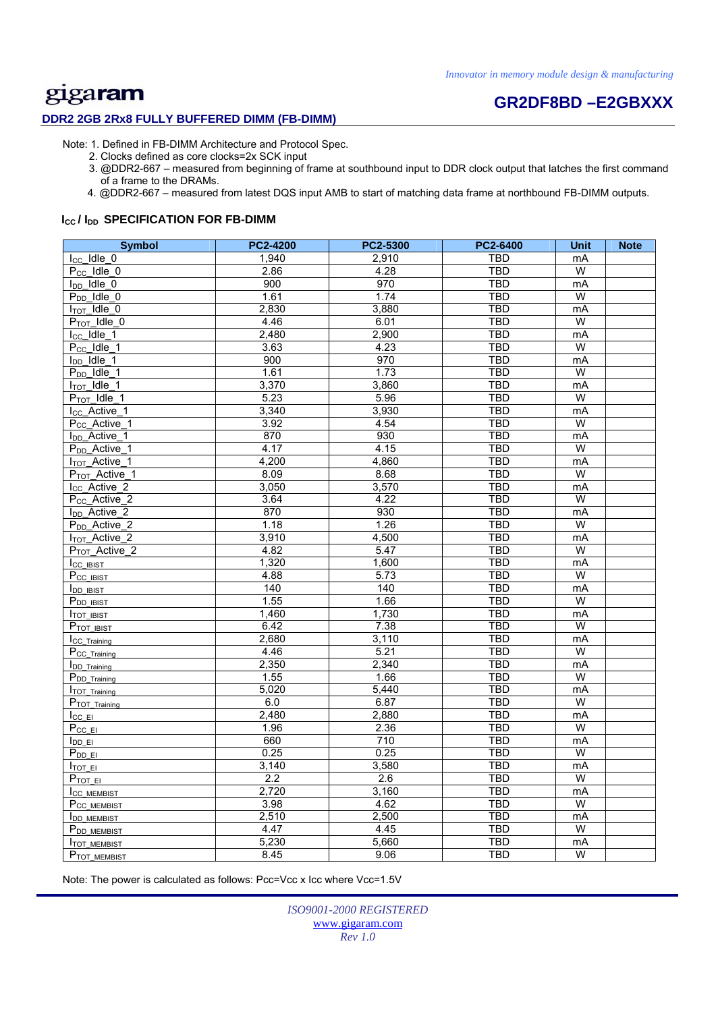# **GR2DF8BD –E2GBXXX**

## **DDR2 2GB 2Rx8 FULLY BUFFERED DIMM (FB-DIMM)**

Note: 1. Defined in FB-DIMM Architecture and Protocol Spec.

2. Clocks defined as core clocks=2x SCK input

 3. @DDR2-667 – measured from beginning of frame at southbound input to DDR clock output that latches the first command of a frame to the DRAMs.

4. @DDR2-667 – measured from latest DQS input AMB to start of matching data frame at northbound FB-DIMM outputs.

## **I<sub>cc</sub>/I<sub>DD</sub> SPECIFICATION FOR FB-DIMM**

| <b>Symbol</b>                  | PC2-4200 | PC2-5300 | PC2-6400   | <b>Unit</b>    | <b>Note</b> |
|--------------------------------|----------|----------|------------|----------------|-------------|
| $I_{CC}$ Idle 0                | 1,940    | 2,910    | <b>TBD</b> | mA             |             |
| $P_{CC}$ Idle_0                | 2.86     | 4.28     | <b>TBD</b> | W              |             |
| $I_{DD}$ Idle $0$              | 900      | 970      | <b>TBD</b> | mA             |             |
| $P_{DD}$ _Idle_0               | 1.61     | 1.74     | <b>TBD</b> | W              |             |
| $I_{TOT}$ Idle 0               | 2,830    | 3,880    | <b>TBD</b> | mA             |             |
| $P_{TOT}$ Idle 0               | 4.46     | 6.01     | <b>TBD</b> | W              |             |
| $I_{CC}$ Idle 1                | 2,480    | 2,900    | <b>TBD</b> | mA             |             |
| $P_{CC}$ Idle 1                | 3.63     | 4.23     | <b>TBD</b> | W              |             |
| $I_{DD}$ Idle $_1$             | 900      | 970      | TBD        | mA             |             |
| $P_{DD}$ Idle_1                | 1.61     | 1.73     | <b>TBD</b> | W              |             |
| $I_{TOT}$ Idle $1$             | 3,370    | 3,860    | <b>TBD</b> | mA             |             |
| P <sub>TOT</sub> Idle 1        | 5.23     | 5.96     | <b>TBD</b> | W              |             |
| I <sub>cc</sub> _Active_1      | 3,340    | 3,930    | <b>TBD</b> | mA             |             |
| $P_{CC}$ Active 1              | 3.92     | 4.54     | <b>TBD</b> | W              |             |
| <b>I<sub>DD</sub>_Active 1</b> | 870      | 930      | <b>TBD</b> | mA             |             |
| P <sub>DD</sub> _Active_1      | 4.17     | 4.15     | TBD        | W              |             |
| $I_{TOT}\_Active\_1$           | 4,200    | 4,860    | <b>TBD</b> | mA             |             |
| P <sub>TOT</sub> _Active_1     | 8.09     | 8.68     | TBD        | W              |             |
| I <sub>CC</sub> Active 2       | 3,050    | 3,570    | <b>TBD</b> | mA             |             |
| P <sub>CC</sub> _Active_2      | 3.64     | 4.22     | TBD        | W              |             |
| I <sub>DD</sub> _Active_2      | 870      | 930      | <b>TBD</b> | mA             |             |
| P <sub>DD</sub> Active 2       | 1.18     | 1.26     | TBD        | W              |             |
| I <sub>TOT</sub> _Active_2     | 3,910    | 4,500    | TBD        | mA             |             |
| P <sub>TOT</sub> _Active_2     | 4.82     | 5.47     | <b>TBD</b> | $\overline{W}$ |             |
| Icc IBIST                      | 1,320    | 1,600    | <b>TBD</b> | mA             |             |
| P <sub>CC_IBIST</sub>          | 4.88     | 5.73     | <b>TBD</b> | W              |             |
| <b>I</b> DD IBIST              | 140      | 140      | TBD        | mA             |             |
| P <sub>DD</sub> IBIST          | 1.55     | 1.66     | <b>TBD</b> | W              |             |
| <b>ITOT IBIST</b>              | 1,460    | 1,730    | <b>TBD</b> | mA             |             |
| PTOT IBIST                     | 6.42     | 7.38     | TBD        | W              |             |
| ICC Training                   | 2,680    | 3,110    | <b>TBD</b> | mA             |             |
| P <sub>CC_Training</sub>       | 4.46     | 5.21     | <b>TBD</b> | W              |             |
| <b>I</b> DD_Training           | 2,350    | 2,340    | <b>TBD</b> | mA             |             |
| P <sub>DD_Training</sub>       | 1.55     | 1.66     | TBD        | W              |             |
| <b>ITOT Training</b>           | 5,020    | 5,440    | <b>TBD</b> | mA             |             |
| P <sub>TOT</sub> Training      | 6.0      | 6.87     | <b>TBD</b> | W              |             |
| $I_{CC}$ EI                    | 2,480    | 2,880    | <b>TBD</b> | mA             |             |
| $P_{CCEI}$                     | 1.96     | 2.36     | <b>TBD</b> | W              |             |
| $I_{DD}$ EI                    | 660      | 710      | <b>TBD</b> | mA             |             |
| $P_{DD}$ EI                    | 0.25     | 0.25     | <b>TBD</b> | W              |             |
| $I_{\text{TOT}}$ EI            | 3,140    | 3,580    | TBD        | mA             |             |
| $P_{\overline{TOT}$ EI         | 2.2      | 2.6      | <b>TBD</b> | W              |             |
| I <sub>CC_MEMBIST</sub>        | 2,720    | 3,160    | <b>TBD</b> | mA             |             |
| P <sub>CC MEMBIST</sub>        | 3.98     | 4.62     | <b>TBD</b> | $\overline{W}$ |             |
| <b>IDD MEMBIST</b>             | 2,510    | 2,500    | <b>TBD</b> | mA             |             |
| P <sub>DD</sub> MEMBIST        | 4.47     | 4.45     | <b>TBD</b> | W              |             |
| <b>ITOT MEMBIST</b>            | 5,230    | 5,660    | <b>TBD</b> | mA             |             |
| PTOT MEMBIST                   | 8.45     | 9.06     | <b>TBD</b> | W              |             |

Note: The power is calculated as follows: Pcc=Vcc x Icc where Vcc=1.5V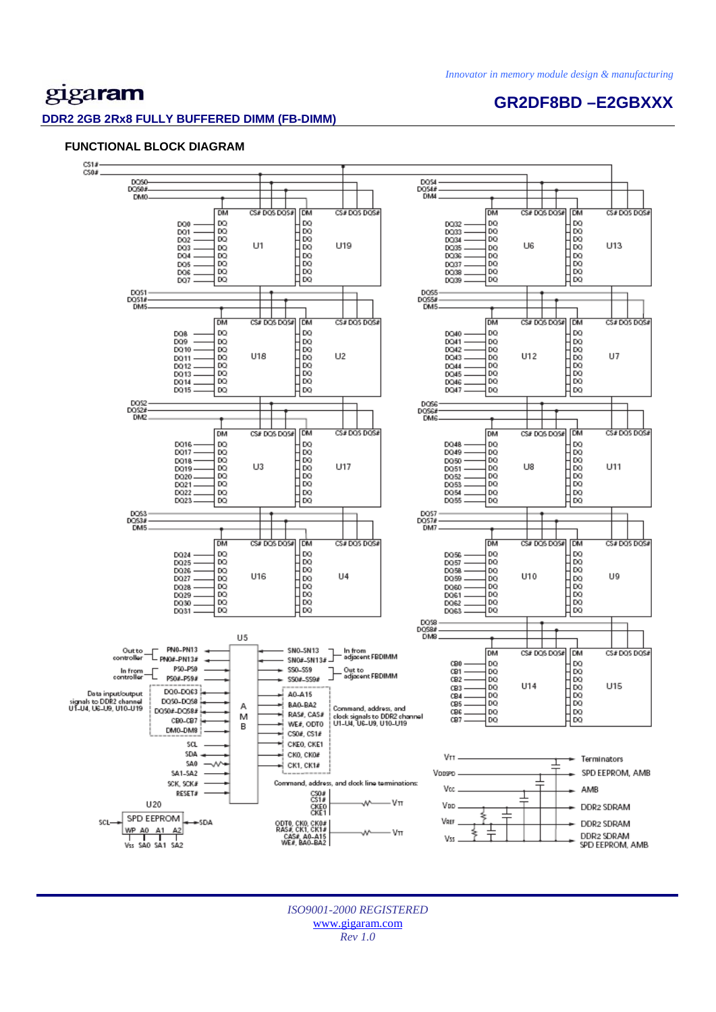**GR2DF8BD –E2GBXXX** 

# gigaram

### **DDR2 2GB 2Rx8 FULLY BUFFERED DIMM (FB-DIMM)**

## **FUNCTIONAL BLOCK DIAGRAM**